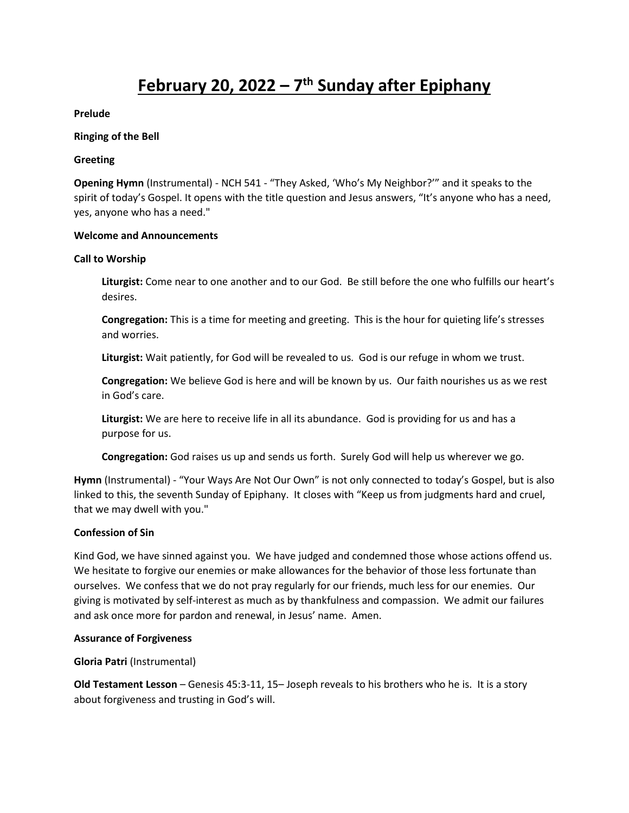# **February 20, 2022 – 7 th Sunday after Epiphany**

#### **Prelude**

#### **Ringing of the Bell**

#### **Greeting**

**Opening Hymn** (Instrumental) - NCH 541 - "They Asked, 'Who's My Neighbor?'" and it speaks to the spirit of today's Gospel. It opens with the title question and Jesus answers, "It's anyone who has a need, yes, anyone who has a need."

#### **Welcome and Announcements**

#### **Call to Worship**

**Liturgist:** Come near to one another and to our God. Be still before the one who fulfills our heart's desires.

**Congregation:** This is a time for meeting and greeting. This is the hour for quieting life's stresses and worries.

**Liturgist:** Wait patiently, for God will be revealed to us. God is our refuge in whom we trust.

**Congregation:** We believe God is here and will be known by us. Our faith nourishes us as we rest in God's care.

**Liturgist:** We are here to receive life in all its abundance. God is providing for us and has a purpose for us.

**Congregation:** God raises us up and sends us forth. Surely God will help us wherever we go.

**Hymn** (Instrumental) - "Your Ways Are Not Our Own" is not only connected to today's Gospel, but is also linked to this, the seventh Sunday of Epiphany. It closes with "Keep us from judgments hard and cruel, that we may dwell with you."

## **Confession of Sin**

Kind God, we have sinned against you. We have judged and condemned those whose actions offend us. We hesitate to forgive our enemies or make allowances for the behavior of those less fortunate than ourselves. We confess that we do not pray regularly for our friends, much less for our enemies. Our giving is motivated by self-interest as much as by thankfulness and compassion. We admit our failures and ask once more for pardon and renewal, in Jesus' name. Amen.

#### **Assurance of Forgiveness**

## **Gloria Patri** (Instrumental)

**Old Testament Lesson** – Genesis 45:3-11, 15– Joseph reveals to his brothers who he is. It is a story about forgiveness and trusting in God's will.